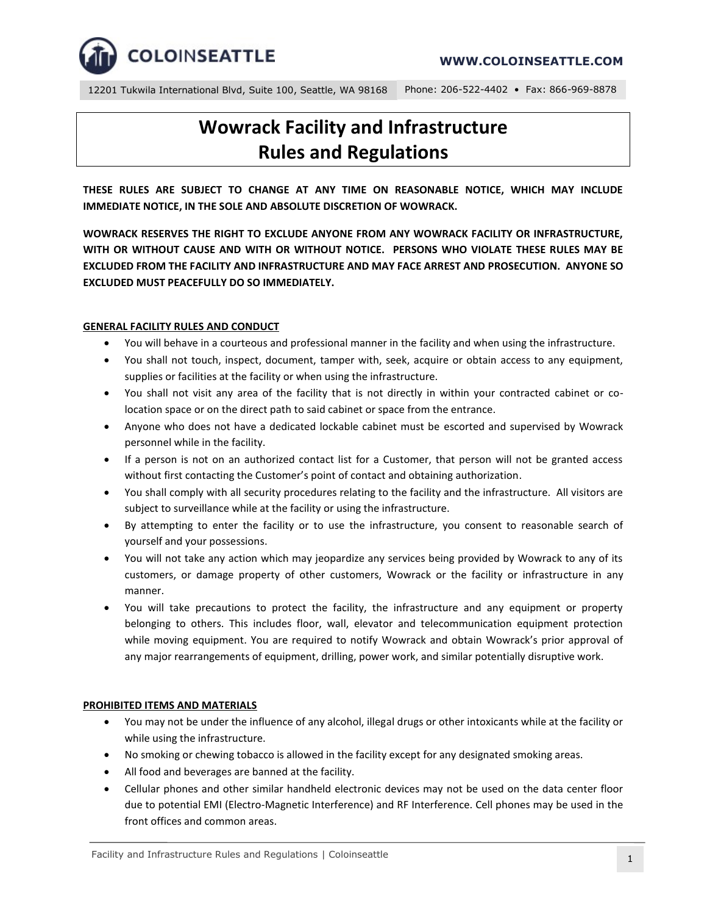

12201 Tukwila International Blvd, Suite 100, Seattle, WA 98168 Phone: 206-522-4402 • Fax: 866-969-8878

# **Wowrack Facility and Infrastructure Rules and Regulations**

**THESE RULES ARE SUBJECT TO CHANGE AT ANY TIME ON REASONABLE NOTICE, WHICH MAY INCLUDE IMMEDIATE NOTICE, IN THE SOLE AND ABSOLUTE DISCRETION OF WOWRACK.**

**WOWRACK RESERVES THE RIGHT TO EXCLUDE ANYONE FROM ANY WOWRACK FACILITY OR INFRASTRUCTURE, WITH OR WITHOUT CAUSE AND WITH OR WITHOUT NOTICE. PERSONS WHO VIOLATE THESE RULES MAY BE EXCLUDED FROM THE FACILITY AND INFRASTRUCTURE AND MAY FACE ARREST AND PROSECUTION. ANYONE SO EXCLUDED MUST PEACEFULLY DO SO IMMEDIATELY.**

#### **GENERAL FACILITY RULES AND CONDUCT**

- You will behave in a courteous and professional manner in the facility and when using the infrastructure.
- You shall not touch, inspect, document, tamper with, seek, acquire or obtain access to any equipment, supplies or facilities at the facility or when using the infrastructure.
- You shall not visit any area of the facility that is not directly in within your contracted cabinet or colocation space or on the direct path to said cabinet or space from the entrance.
- Anyone who does not have a dedicated lockable cabinet must be escorted and supervised by Wowrack personnel while in the facility.
- If a person is not on an authorized contact list for a Customer, that person will not be granted access without first contacting the Customer's point of contact and obtaining authorization.
- You shall comply with all security procedures relating to the facility and the infrastructure. All visitors are subject to surveillance while at the facility or using the infrastructure.
- By attempting to enter the facility or to use the infrastructure, you consent to reasonable search of yourself and your possessions.
- You will not take any action which may jeopardize any services being provided by Wowrack to any of its customers, or damage property of other customers, Wowrack or the facility or infrastructure in any manner.
- You will take precautions to protect the facility, the infrastructure and any equipment or property belonging to others. This includes floor, wall, elevator and telecommunication equipment protection while moving equipment. You are required to notify Wowrack and obtain Wowrack's prior approval of any major rearrangements of equipment, drilling, power work, and similar potentially disruptive work.

## **PROHIBITED ITEMS AND MATERIALS**

- You may not be under the influence of any alcohol, illegal drugs or other intoxicants while at the facility or while using the infrastructure.
- No smoking or chewing tobacco is allowed in the facility except for any designated smoking areas.
- All food and beverages are banned at the facility.
- Cellular phones and other similar handheld electronic devices may not be used on the data center floor due to potential EMI (Electro-Magnetic Interference) and RF Interference. Cell phones may be used in the front offices and common areas.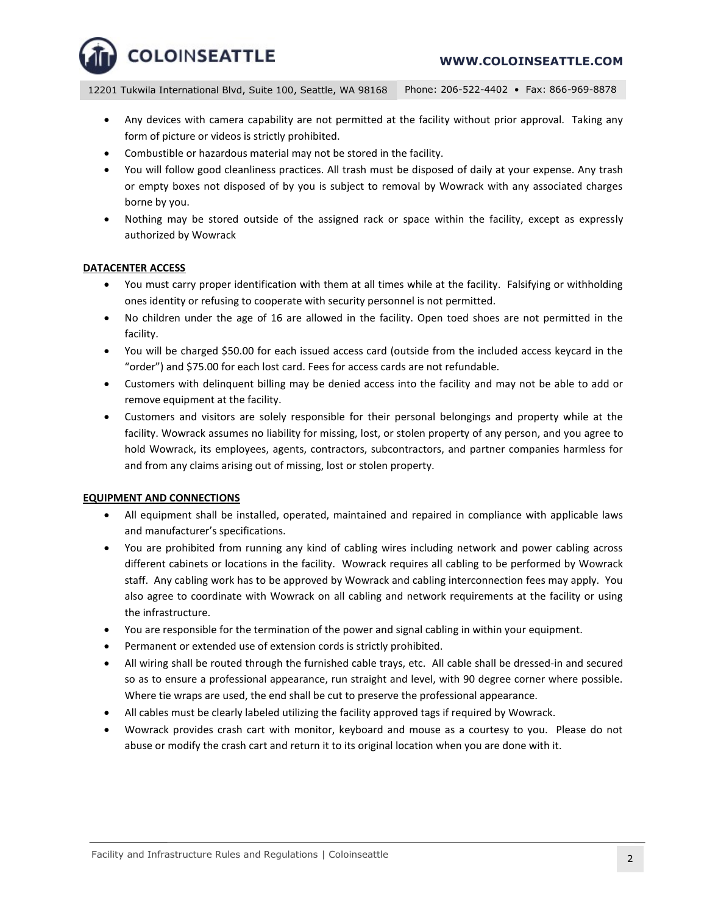12201 Tukwila International Blvd, Suite 100, Seattle, WA 98168 Phone: 206-522-4402 • Fax: 866-969-8878

- Any devices with camera capability are not permitted at the facility without prior approval. Taking any form of picture or videos is strictly prohibited.
- Combustible or hazardous material may not be stored in the facility.
- You will follow good cleanliness practices. All trash must be disposed of daily at your expense. Any trash or empty boxes not disposed of by you is subject to removal by Wowrack with any associated charges borne by you.
- Nothing may be stored outside of the assigned rack or space within the facility, except as expressly authorized by Wowrack

## **DATACENTER ACCESS**

- You must carry proper identification with them at all times while at the facility. Falsifying or withholding ones identity or refusing to cooperate with security personnel is not permitted.
- No children under the age of 16 are allowed in the facility. Open toed shoes are not permitted in the facility.
- You will be charged \$50.00 for each issued access card (outside from the included access keycard in the "order") and \$75.00 for each lost card. Fees for access cards are not refundable.
- Customers with delinquent billing may be denied access into the facility and may not be able to add or remove equipment at the facility.
- Customers and visitors are solely responsible for their personal belongings and property while at the facility. Wowrack assumes no liability for missing, lost, or stolen property of any person, and you agree to hold Wowrack, its employees, agents, contractors, subcontractors, and partner companies harmless for and from any claims arising out of missing, lost or stolen property.

## **EQUIPMENT AND CONNECTIONS**

- All equipment shall be installed, operated, maintained and repaired in compliance with applicable laws and manufacturer's specifications.
- You are prohibited from running any kind of cabling wires including network and power cabling across different cabinets or locations in the facility. Wowrack requires all cabling to be performed by Wowrack staff. Any cabling work has to be approved by Wowrack and cabling interconnection fees may apply. You also agree to coordinate with Wowrack on all cabling and network requirements at the facility or using the infrastructure.
- You are responsible for the termination of the power and signal cabling in within your equipment.
- Permanent or extended use of extension cords is strictly prohibited.
- All wiring shall be routed through the furnished cable trays, etc. All cable shall be dressed-in and secured so as to ensure a professional appearance, run straight and level, with 90 degree corner where possible. Where tie wraps are used, the end shall be cut to preserve the professional appearance.
- All cables must be clearly labeled utilizing the facility approved tags if required by Wowrack.
- Wowrack provides crash cart with monitor, keyboard and mouse as a courtesy to you. Please do not abuse or modify the crash cart and return it to its original location when you are done with it.